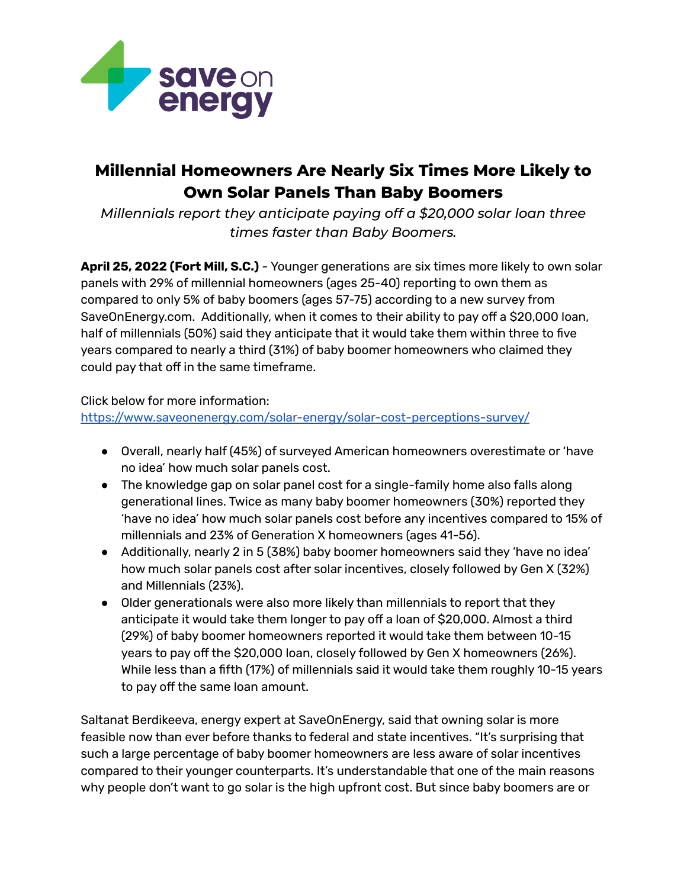

## **Millennial Homeowners Are Nearly Six Times More Likely to Own Solar Panels Than Baby Boomers**

*Millennials report they anticipate paying off a \$20,000 solar loan three times faster than Baby Boomers.*

**April 25, 2022 (Fort Mill, S.C.)** - Younger generations are six times more likely to own solar panels with 29% of millennial homeowners (ages 25-40) reporting to own them as compared to only 5% of baby boomers (ages 57-75) according to a new survey from SaveOnEnergy.com. Additionally, when it comes to their ability to pay off a \$20,000 loan, half of millennials (50%) said they anticipate that it would take them within three to five years compared to nearly a third (31%) of baby boomer homeowners who claimed they could pay that off in the same timeframe.

Click below for more information: <https://www.saveonenergy.com/solar-energy/solar-cost-perceptions-survey/>

- Overall, nearly half (45%) of surveyed American homeowners overestimate or 'have no idea' how much solar panels cost.
- The knowledge gap on solar panel cost for a single-family home also falls along generational lines. Twice as many baby boomer homeowners (30%) reported they 'have no idea' how much solar panels cost before any incentives compared to 15% of millennials and 23% of Generation X homeowners (ages 41-56).
- Additionally, nearly 2 in 5 (38%) baby boomer homeowners said they 'have no idea' how much solar panels cost after solar incentives, closely followed by Gen X (32%) and Millennials (23%).
- Older generationals were also more likely than millennials to report that they anticipate it would take them longer to pay off a loan of \$20,000. Almost a third (29%) of baby boomer homeowners reported it would take them between 10-15 years to pay off the \$20,000 loan, closely followed by Gen X homeowners (26%). While less than a fifth (17%) of millennials said it would take them roughly 10-15 years to pay off the same loan amount.

Saltanat Berdikeeva, energy expert at SaveOnEnergy, said that owning solar is more feasible now than ever before thanks to federal and state incentives. "It's surprising that such a large percentage of baby boomer homeowners are less aware of solar incentives compared to their younger counterparts. It's understandable that one of the main reasons why people don't want to go solar is the high upfront cost. But since baby boomers are or